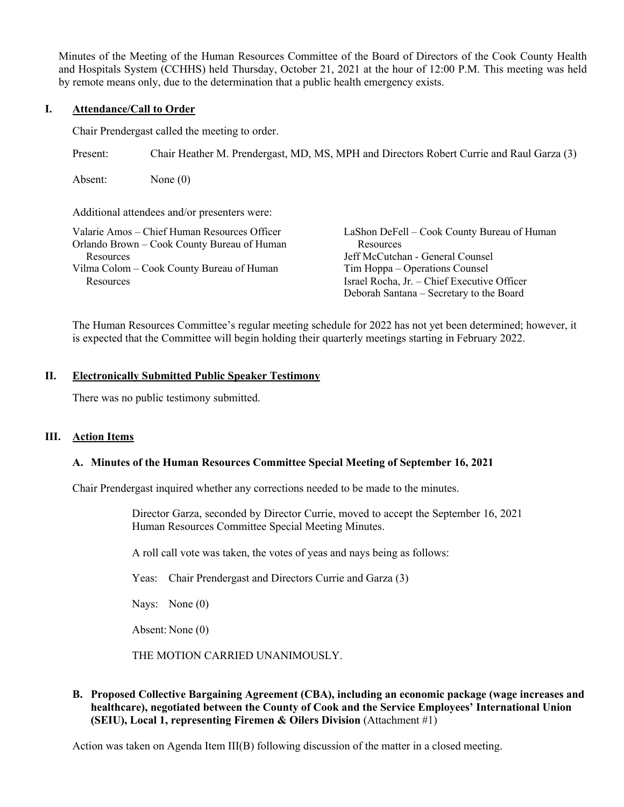Minutes of the Meeting of the Human Resources Committee of the Board of Directors of the Cook County Health and Hospitals System (CCHHS) held Thursday, October 21, 2021 at the hour of 12:00 P.M. This meeting was held by remote means only, due to the determination that a public health emergency exists.

# **I. Attendance/Call to Order**

Chair Prendergast called the meeting to order.

Present: Chair Heather M. Prendergast, MD, MS, MPH and Directors Robert Currie and Raul Garza (3)

Absent: None (0)

Additional attendees and/or presenters were:

| Valarie Amos – Chief Human Resources Officer | LaShon DeFell – Cook County Bureau of Human |
|----------------------------------------------|---------------------------------------------|
| Orlando Brown – Cook County Bureau of Human  | Resources                                   |
| Resources                                    | Jeff McCutchan - General Counsel            |
| Vilma Colom – Cook County Bureau of Human    | Tim Hoppa – Operations Counsel              |
| Resources                                    | Israel Rocha, Jr. - Chief Executive Officer |
|                                              | Deborah Santana – Secretary to the Board    |

The Human Resources Committee's regular meeting schedule for 2022 has not yet been determined; however, it is expected that the Committee will begin holding their quarterly meetings starting in February 2022.

### **II. Electronically Submitted Public Speaker Testimony**

There was no public testimony submitted.

## **III. Action Items**

## **A. Minutes of the Human Resources Committee Special Meeting of September 16, 2021**

Chair Prendergast inquired whether any corrections needed to be made to the minutes.

Director Garza, seconded by Director Currie, moved to accept the September 16, 2021 Human Resources Committee Special Meeting Minutes.

A roll call vote was taken, the votes of yeas and nays being as follows:

Yeas: Chair Prendergast and Directors Currie and Garza (3)

Nays: None (0)

Absent: None (0)

THE MOTION CARRIED UNANIMOUSLY.

# **B. Proposed Collective Bargaining Agreement (CBA), including an economic package (wage increases and healthcare), negotiated between the County of Cook and the Service Employees' International Union (SEIU), Local 1, representing Firemen & Oilers Division** (Attachment #1)

Action was taken on Agenda Item III(B) following discussion of the matter in a closed meeting.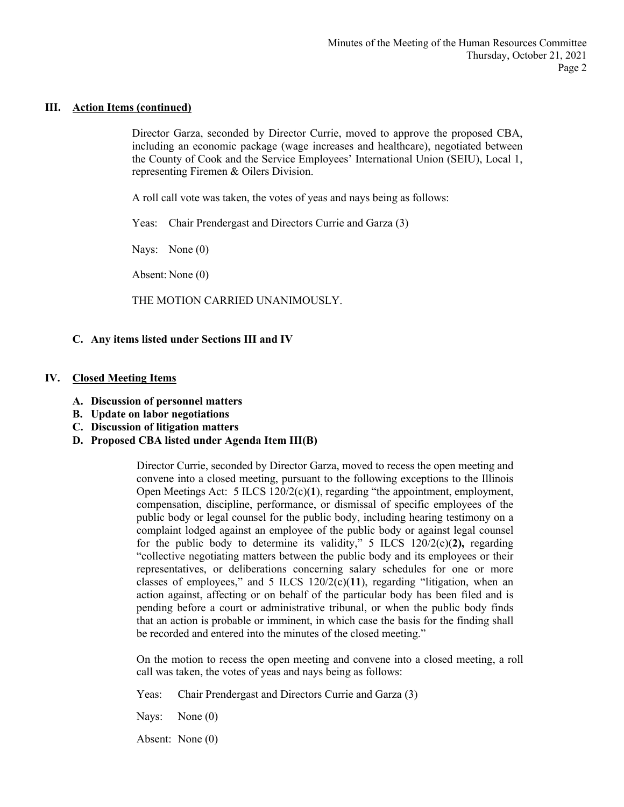### **III. Action Items (continued)**

Director Garza, seconded by Director Currie, moved to approve the proposed CBA, including an economic package (wage increases and healthcare), negotiated between the County of Cook and the Service Employees' International Union (SEIU), Local 1, representing Firemen & Oilers Division.

A roll call vote was taken, the votes of yeas and nays being as follows:

Yeas: Chair Prendergast and Directors Currie and Garza (3)

Nays: None (0)

Absent: None (0)

THE MOTION CARRIED UNANIMOUSLY.

## **C. Any items listed under Sections III and IV**

#### **IV. Closed Meeting Items**

- **A. Discussion of personnel matters**
- **B. Update on labor negotiations**
- **C. Discussion of litigation matters**
- **D. Proposed CBA listed under Agenda Item III(B)**

Director Currie, seconded by Director Garza, moved to recess the open meeting and convene into a closed meeting, pursuant to the following exceptions to the Illinois Open Meetings Act: 5 ILCS 120/2(c)(**1**), regarding "the appointment, employment, compensation, discipline, performance, or dismissal of specific employees of the public body or legal counsel for the public body, including hearing testimony on a complaint lodged against an employee of the public body or against legal counsel for the public body to determine its validity," 5 ILCS 120/2(c)(2), regarding "collective negotiating matters between the public body and its employees or their representatives, or deliberations concerning salary schedules for one or more classes of employees," and 5 ILCS 120/2(c)(**11**), regarding "litigation, when an action against, affecting or on behalf of the particular body has been filed and is pending before a court or administrative tribunal, or when the public body finds that an action is probable or imminent, in which case the basis for the finding shall be recorded and entered into the minutes of the closed meeting."

On the motion to recess the open meeting and convene into a closed meeting, a roll call was taken, the votes of yeas and nays being as follows:

Yeas: Chair Prendergast and Directors Currie and Garza (3)

Nays: None (0)

Absent: None (0)